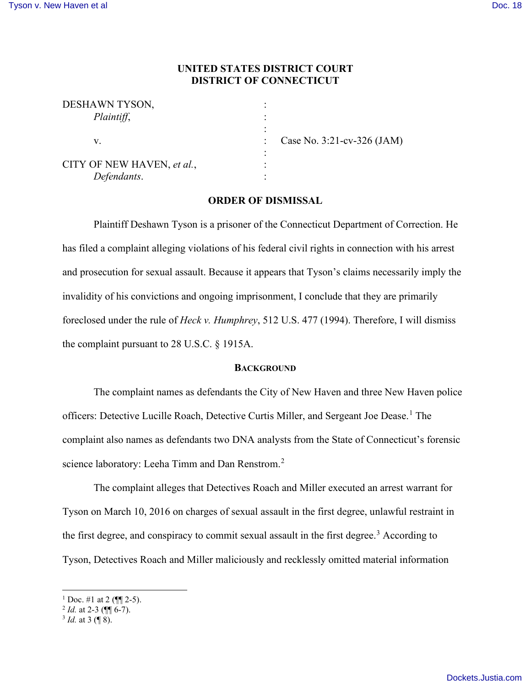## **UNITED STATES DISTRICT COURT DISTRICT OF CONNECTICUT**

| DESHAWN TYSON,             |         |
|----------------------------|---------|
| Plaintiff,                 |         |
| V.                         | Case No |
|                            |         |
| CITY OF NEW HAVEN, et al., |         |
| Defendants.                |         |

 $v. 3:21$ -cv-326 (JAM)

# **ORDER OF DISMISSAL**

Plaintiff Deshawn Tyson is a prisoner of the Connecticut Department of Correction. He has filed a complaint alleging violations of his federal civil rights in connection with his arrest and prosecution for sexual assault. Because it appears that Tyson's claims necessarily imply the invalidity of his convictions and ongoing imprisonment, I conclude that they are primarily foreclosed under the rule of *Heck v. Humphrey*, 512 U.S. 477 (1994). Therefore, I will dismiss the complaint pursuant to 28 U.S.C. § 1915A.

## **BACKGROUND**

The complaint names as defendants the City of New Haven and three New Haven police officers: Detective Lucille Roach, Detective Curtis Miller, and Sergeant Joe Dease.<sup>1</sup> The complaint also names as defendants two DNA analysts from the State of Connecticut's forensic science laboratory: Leeha Timm and Dan Renstrom.<sup>2</sup>

The complaint alleges that Detectives Roach and Miller executed an arrest warrant for Tyson on March 10, 2016 on charges of sexual assault in the first degree, unlawful restraint in the first degree, and conspiracy to commit sexual assault in the first degree.<sup>3</sup> According to Tyson, Detectives Roach and Miller maliciously and recklessly omitted material information

<sup>&</sup>lt;sup>1</sup> Doc. #1 at 2 ( $\P$ [ $\degree$  2-5).

<sup>2</sup> *Id.* at 2-3 (¶¶ 6-7).

<sup>3</sup> *Id.* at 3 (¶ 8).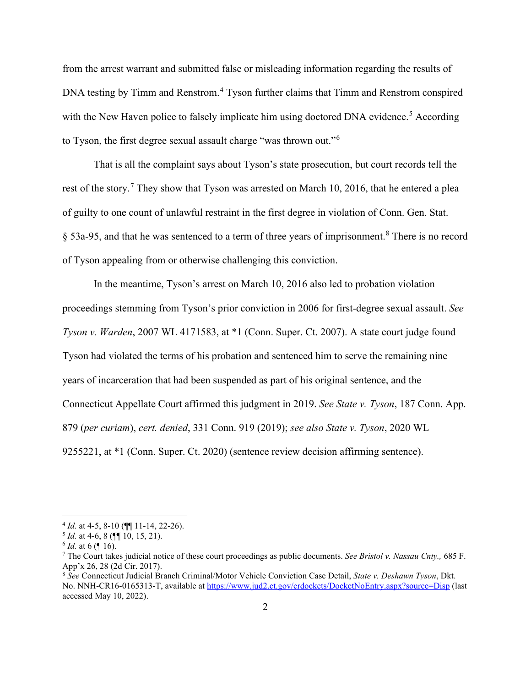from the arrest warrant and submitted false or misleading information regarding the results of DNA testing by Timm and Renstrom.<sup>4</sup> Tyson further claims that Timm and Renstrom conspired with the New Haven police to falsely implicate him using doctored DNA evidence.<sup>5</sup> According to Tyson, the first degree sexual assault charge "was thrown out." $^6$ 

That is all the complaint says about Tyson's state prosecution, but court records tell the rest of the story.<sup>7</sup> They show that Tyson was arrested on March 10, 2016, that he entered a plea of guilty to one count of unlawful restraint in the first degree in violation of Conn. Gen. Stat. § 53a-95, and that he was sentenced to a term of three years of imprisonment.<sup>8</sup> There is no record of Tyson appealing from or otherwise challenging this conviction.

In the meantime, Tyson's arrest on March 10, 2016 also led to probation violation proceedings stemming from Tyson's prior conviction in 2006 for first-degree sexual assault. *See Tyson v. Warden*, 2007 WL 4171583, at \*1 (Conn. Super. Ct. 2007). A state court judge found Tyson had violated the terms of his probation and sentenced him to serve the remaining nine years of incarceration that had been suspended as part of his original sentence, and the Connecticut Appellate Court affirmed this judgment in 2019. *See State v. Tyson*, 187 Conn. App. 879 (*per curiam*), *cert. denied*, 331 Conn. 919 (2019); *see also State v. Tyson*, 2020 WL 9255221, at \*1 (Conn. Super. Ct. 2020) (sentence review decision affirming sentence).

<sup>4</sup> *Id.* at 4-5, 8-10 (¶¶ 11-14, 22-26).

 $<sup>5</sup>$  *Id.* at 4-6, 8 ( $\llbracket \llbracket 10, 15, 21$ ).</sup>

 $^6$  *Id.* at 6 ( $\llbracket$  16).

<sup>7</sup> The Court takes judicial notice of these court proceedings as public documents. *See Bristol v. Nassau Cnty.,* 685 F. App'x 26, 28 (2d Cir. 2017).

<sup>8</sup> *See* Connecticut Judicial Branch Criminal/Motor Vehicle Conviction Case Detail, *State v. Deshawn Tyson*, Dkt. No. NNH-CR16-0165313-T, available at https://www.jud2.ct.gov/crdockets/DocketNoEntry.aspx?source=Disp (last accessed May 10, 2022).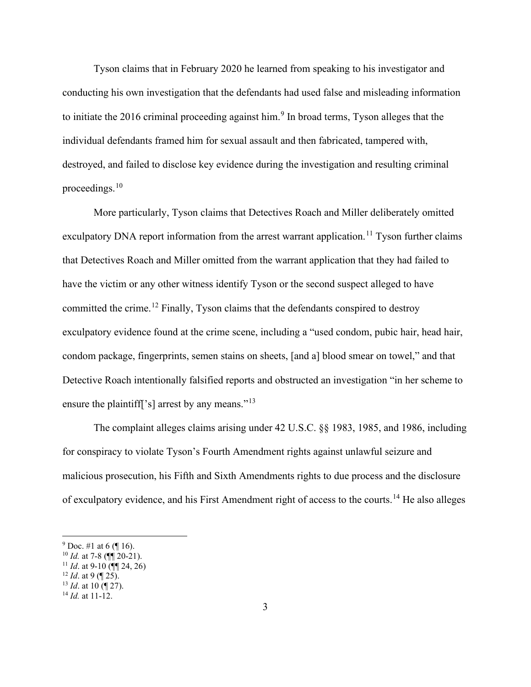Tyson claims that in February 2020 he learned from speaking to his investigator and conducting his own investigation that the defendants had used false and misleading information to initiate the 2016 criminal proceeding against him.<sup>9</sup> In broad terms, Tyson alleges that the individual defendants framed him for sexual assault and then fabricated, tampered with, destroyed, and failed to disclose key evidence during the investigation and resulting criminal proceedings. $^{10}$ 

More particularly, Tyson claims that Detectives Roach and Miller deliberately omitted exculpatory DNA report information from the arrest warrant application.<sup>11</sup> Tyson further claims that Detectives Roach and Miller omitted from the warrant application that they had failed to have the victim or any other witness identify Tyson or the second suspect alleged to have committed the crime.<sup>12</sup> Finally, Tyson claims that the defendants conspired to destroy exculpatory evidence found at the crime scene, including a "used condom, pubic hair, head hair, condom package, fingerprints, semen stains on sheets, [and a] blood smear on towel," and that Detective Roach intentionally falsified reports and obstructed an investigation "in her scheme to ensure the plaintiff<sup>['s]</sup> arrest by any means."<sup>13</sup>

The complaint alleges claims arising under 42 U.S.C. §§ 1983, 1985, and 1986, including for conspiracy to violate Tyson's Fourth Amendment rights against unlawful seizure and malicious prosecution, his Fifth and Sixth Amendments rights to due process and the disclosure of exculpatory evidence, and his First Amendment right of access to the courts.<sup>14</sup> He also alleges

 $9$  Doc. #1 at 6 (¶ 16).

 $^{10}$  *Id.* at 7-8 ( $\P$  $\overline{}}$  $20-21$ ).

<sup>&</sup>lt;sup>11</sup> *Id.* at 9-10 (**¶** 24, 26)

 $12$  *Id.* at 9 (¶ 25).

<sup>13</sup> *Id*. at 10 (¶ 27).

<sup>14</sup> *Id.* at 11-12.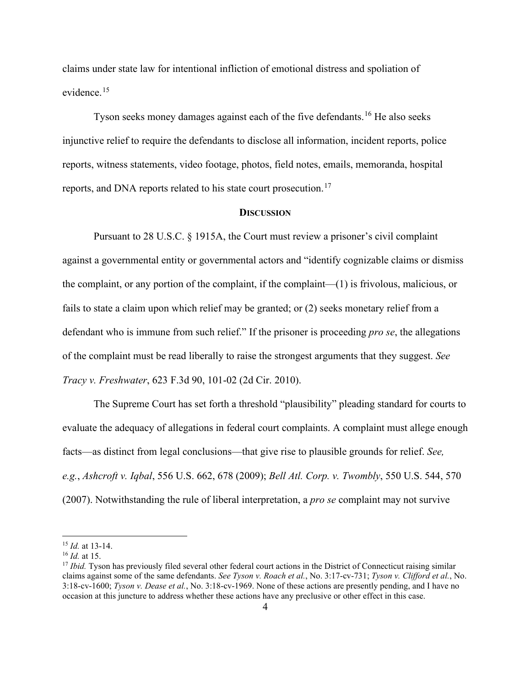claims under state law for intentional infliction of emotional distress and spoliation of evidence.<sup>15</sup>

Tyson seeks money damages against each of the five defendants.<sup>16</sup> He also seeks injunctive relief to require the defendants to disclose all information, incident reports, police reports, witness statements, video footage, photos, field notes, emails, memoranda, hospital reports, and DNA reports related to his state court prosecution.<sup>17</sup>

#### **DISCUSSION**

Pursuant to 28 U.S.C. § 1915A, the Court must review a prisoner's civil complaint against a governmental entity or governmental actors and "identify cognizable claims or dismiss the complaint, or any portion of the complaint, if the complaint—(1) is frivolous, malicious, or fails to state a claim upon which relief may be granted; or (2) seeks monetary relief from a defendant who is immune from such relief." If the prisoner is proceeding *pro se*, the allegations of the complaint must be read liberally to raise the strongest arguments that they suggest. *See Tracy v. Freshwater*, 623 F.3d 90, 101-02 (2d Cir. 2010).

The Supreme Court has set forth a threshold "plausibility" pleading standard for courts to evaluate the adequacy of allegations in federal court complaints. A complaint must allege enough facts—as distinct from legal conclusions—that give rise to plausible grounds for relief. *See, e.g.*, *Ashcroft v. Iqbal*, 556 U.S. 662, 678 (2009); *Bell Atl. Corp. v. Twombly*, 550 U.S. 544, 570 (2007). Notwithstanding the rule of liberal interpretation, a *pro se* complaint may not survive

<sup>15</sup> *Id.* at 13-14.

<sup>16</sup> *Id.* at 15.

<sup>&</sup>lt;sup>17</sup> *Ibid.* Tyson has previously filed several other federal court actions in the District of Connecticut raising similar claims against some of the same defendants. *See Tyson v. Roach et al.*, No. 3:17-cv-731; *Tyson v. Clifford et al.*, No. 3:18-cv-1600; *Tyson v. Dease et al.*, No. 3:18-cv-1969. None of these actions are presently pending, and I have no occasion at this juncture to address whether these actions have any preclusive or other effect in this case.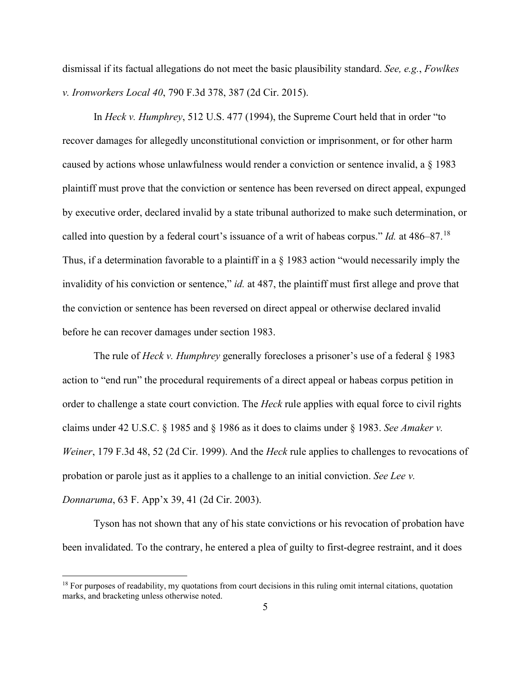dismissal if its factual allegations do not meet the basic plausibility standard. *See, e.g.*, *Fowlkes v. Ironworkers Local 40*, 790 F.3d 378, 387 (2d Cir. 2015).

In *Heck v. Humphrey*, 512 U.S. 477 (1994), the Supreme Court held that in order "to recover damages for allegedly unconstitutional conviction or imprisonment, or for other harm caused by actions whose unlawfulness would render a conviction or sentence invalid, a § 1983 plaintiff must prove that the conviction or sentence has been reversed on direct appeal, expunged by executive order, declared invalid by a state tribunal authorized to make such determination, or called into question by a federal court's issuance of a writ of habeas corpus." *Id.* at 486–87.<sup>18</sup> Thus, if a determination favorable to a plaintiff in a § 1983 action "would necessarily imply the invalidity of his conviction or sentence," *id.* at 487, the plaintiff must first allege and prove that the conviction or sentence has been reversed on direct appeal or otherwise declared invalid before he can recover damages under section 1983.

The rule of *Heck v. Humphrey* generally forecloses a prisoner's use of a federal § 1983 action to "end run" the procedural requirements of a direct appeal or habeas corpus petition in order to challenge a state court conviction. The *Heck* rule applies with equal force to civil rights claims under 42 U.S.C. § 1985 and § 1986 as it does to claims under § 1983. *See Amaker v. Weiner*, 179 F.3d 48, 52 (2d Cir. 1999). And the *Heck* rule applies to challenges to revocations of probation or parole just as it applies to a challenge to an initial conviction. *See Lee v. Donnaruma*, 63 F. App'x 39, 41 (2d Cir. 2003).

Tyson has not shown that any of his state convictions or his revocation of probation have been invalidated. To the contrary, he entered a plea of guilty to first-degree restraint, and it does

<sup>&</sup>lt;sup>18</sup> For purposes of readability, my quotations from court decisions in this ruling omit internal citations, quotation marks, and bracketing unless otherwise noted.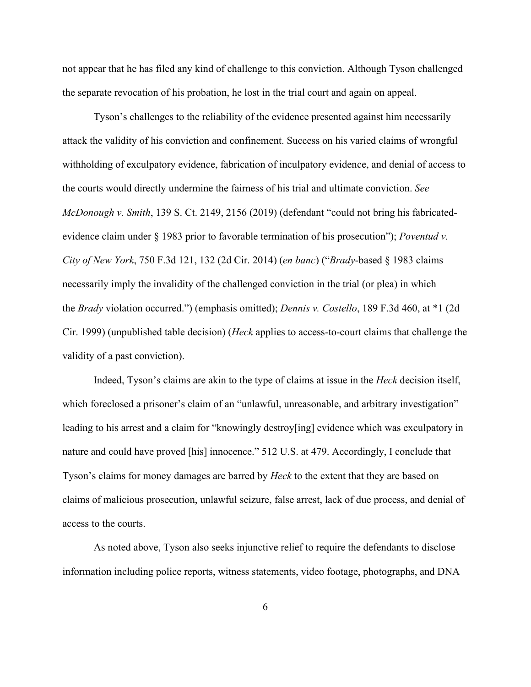not appear that he has filed any kind of challenge to this conviction. Although Tyson challenged the separate revocation of his probation, he lost in the trial court and again on appeal.

Tyson's challenges to the reliability of the evidence presented against him necessarily attack the validity of his conviction and confinement. Success on his varied claims of wrongful withholding of exculpatory evidence, fabrication of inculpatory evidence, and denial of access to the courts would directly undermine the fairness of his trial and ultimate conviction. *See McDonough v. Smith*, 139 S. Ct. 2149, 2156 (2019) (defendant "could not bring his fabricatedevidence claim under § 1983 prior to favorable termination of his prosecution"); *Poventud v. City of New York*, 750 F.3d 121, 132 (2d Cir. 2014) (*en banc*) ("*Brady*-based § 1983 claims necessarily imply the invalidity of the challenged conviction in the trial (or plea) in which the *Brady* violation occurred.") (emphasis omitted); *Dennis v. Costello*, 189 F.3d 460, at \*1 (2d Cir. 1999) (unpublished table decision) (*Heck* applies to access-to-court claims that challenge the validity of a past conviction).

Indeed, Tyson's claims are akin to the type of claims at issue in the *Heck* decision itself, which foreclosed a prisoner's claim of an "unlawful, unreasonable, and arbitrary investigation" leading to his arrest and a claim for "knowingly destroy[ing] evidence which was exculpatory in nature and could have proved [his] innocence." 512 U.S. at 479. Accordingly, I conclude that Tyson's claims for money damages are barred by *Heck* to the extent that they are based on claims of malicious prosecution, unlawful seizure, false arrest, lack of due process, and denial of access to the courts.

As noted above, Tyson also seeks injunctive relief to require the defendants to disclose information including police reports, witness statements, video footage, photographs, and DNA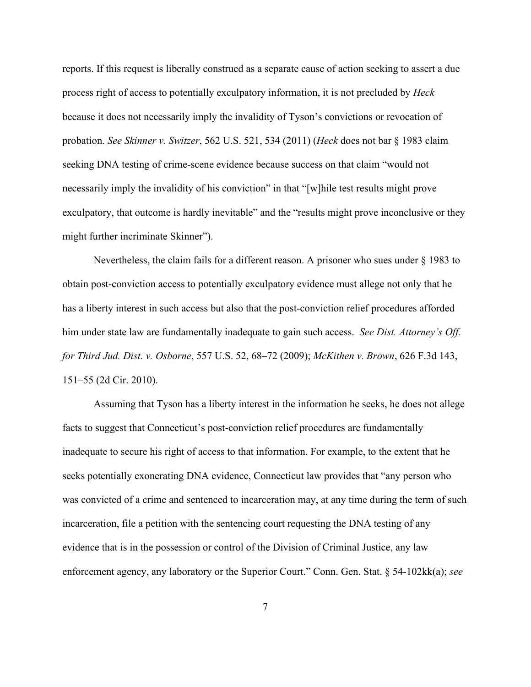reports. If this request is liberally construed as a separate cause of action seeking to assert a due process right of access to potentially exculpatory information, it is not precluded by *Heck* because it does not necessarily imply the invalidity of Tyson's convictions or revocation of probation. *See Skinner v. Switzer*, 562 U.S. 521, 534 (2011) (*Heck* does not bar § 1983 claim seeking DNA testing of crime-scene evidence because success on that claim "would not necessarily imply the invalidity of his conviction" in that "[w] hile test results might prove exculpatory, that outcome is hardly inevitable" and the "results might prove inconclusive or they might further incriminate Skinner").

Nevertheless, the claim fails for a different reason. A prisoner who sues under § 1983 to obtain post-conviction access to potentially exculpatory evidence must allege not only that he has a liberty interest in such access but also that the post-conviction relief procedures afforded him under state law are fundamentally inadequate to gain such access. *See Dist. Attorney's Off. for Third Jud. Dist. v. Osborne*, 557 U.S. 52, 68–72 (2009); *McKithen v. Brown*, 626 F.3d 143, 151–55 (2d Cir. 2010).

Assuming that Tyson has a liberty interest in the information he seeks, he does not allege facts to suggest that Connecticut's post-conviction relief procedures are fundamentally inadequate to secure his right of access to that information. For example, to the extent that he seeks potentially exonerating DNA evidence, Connecticut law provides that "any person who was convicted of a crime and sentenced to incarceration may, at any time during the term of such incarceration, file a petition with the sentencing court requesting the DNA testing of any evidence that is in the possession or control of the Division of Criminal Justice, any law enforcement agency, any laboratory or the Superior Court." Conn. Gen. Stat. § 54-102kk(a); *see*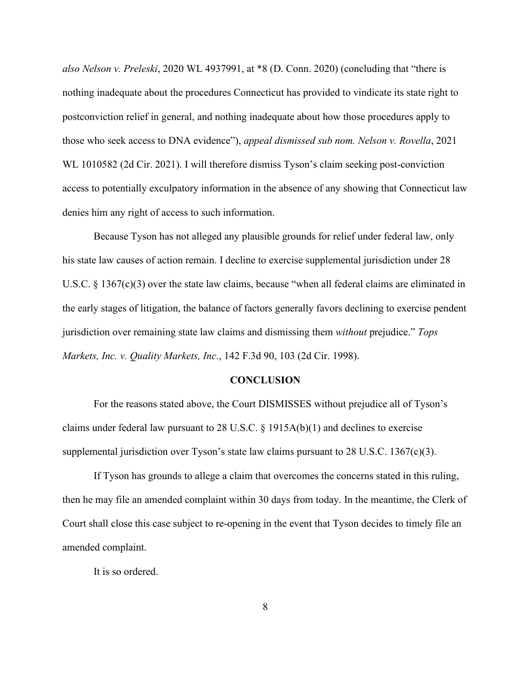*also Nelson v. Preleski*, 2020 WL 4937991, at \*8 (D. Conn. 2020) (concluding that "there is nothing inadequate about the procedures Connecticut has provided to vindicate its state right to postconviction relief in general, and nothing inadequate about how those procedures apply to those who seek access to DNA evidence"), *appeal dismissed sub nom. Nelson v. Rovella*, 2021 WL 1010582 (2d Cir. 2021). I will therefore dismiss Tyson's claim seeking post-conviction access to potentially exculpatory information in the absence of any showing that Connecticut law denies him any right of access to such information.

Because Tyson has not alleged any plausible grounds for relief under federal law, only his state law causes of action remain. I decline to exercise supplemental jurisdiction under 28 U.S.C. § 1367(c)(3) over the state law claims, because "when all federal claims are eliminated in the early stages of litigation, the balance of factors generally favors declining to exercise pendent jurisdiction over remaining state law claims and dismissing them *without* prejudice." *Tops Markets, Inc. v. Quality Markets, Inc.*, 142 F.3d 90, 103 (2d Cir. 1998).

### **CONCLUSION**

 For the reasons stated above, the Court DISMISSES without prejudice all of Tyson's claims under federal law pursuant to 28 U.S.C.  $\S$  1915A(b)(1) and declines to exercise supplemental jurisdiction over Tyson's state law claims pursuant to 28 U.S.C. 1367(c)(3).

 If Tyson has grounds to allege a claim that overcomes the concerns stated in this ruling, then he may file an amended complaint within 30 days from today. In the meantime, the Clerk of Court shall close this case subject to re-opening in the event that Tyson decides to timely file an amended complaint.

It is so ordered.